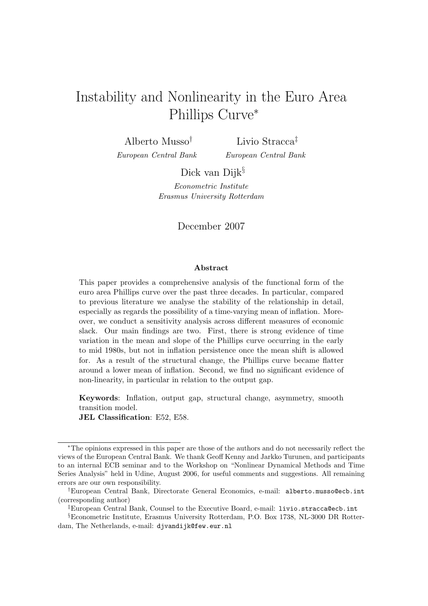# Instability and Nonlinearity in the Euro Area Phillips Curve<sup>∗</sup>

Alberto Musso† European Central Bank

Livio Stracca‡ European Central Bank

Dick van Dijk§

Econometric Institute Erasmus University Rotterdam

### December 2007

#### Abstract

This paper provides a comprehensive analysis of the functional form of the euro area Phillips curve over the past three decades. In particular, compared to previous literature we analyse the stability of the relationship in detail, especially as regards the possibility of a time-varying mean of inflation. Moreover, we conduct a sensitivity analysis across different measures of economic slack. Our main findings are two. First, there is strong evidence of time variation in the mean and slope of the Phillips curve occurring in the early to mid 1980s, but not in inflation persistence once the mean shift is allowed for. As a result of the structural change, the Phillips curve became flatter around a lower mean of inflation. Second, we find no significant evidence of non-linearity, in particular in relation to the output gap.

Keywords: Inflation, output gap, structural change, asymmetry, smooth transition model.

JEL Classification: E52, E58.

<sup>∗</sup>The opinions expressed in this paper are those of the authors and do not necessarily reflect the views of the European Central Bank. We thank Geoff Kenny and Jarkko Turunen, and participants to an internal ECB seminar and to the Workshop on "Nonlinear Dynamical Methods and Time Series Analysis" held in Udine, August 2006, for useful comments and suggestions. All remaining errors are our own responsibility.

<sup>†</sup>European Central Bank, Directorate General Economics, e-mail: alberto.musso@ecb.int (corresponding author)

<sup>‡</sup>European Central Bank, Counsel to the Executive Board, e-mail: livio.stracca@ecb.int

<sup>§</sup>Econometric Institute, Erasmus University Rotterdam, P.O. Box 1738, NL-3000 DR Rotterdam, The Netherlands, e-mail: djvandijk@few.eur.nl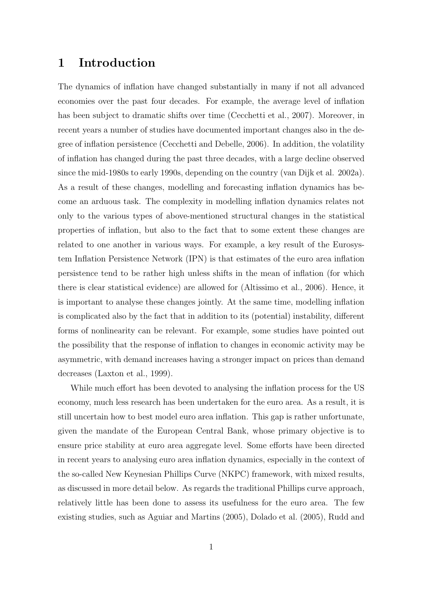# 1 Introduction

The dynamics of inflation have changed substantially in many if not all advanced economies over the past four decades. For example, the average level of inflation has been subject to dramatic shifts over time (Cecchetti et al., 2007). Moreover, in recent years a number of studies have documented important changes also in the degree of inflation persistence (Cecchetti and Debelle, 2006). In addition, the volatility of inflation has changed during the past three decades, with a large decline observed since the mid-1980s to early 1990s, depending on the country (van Dijk et al. 2002a). As a result of these changes, modelling and forecasting inflation dynamics has become an arduous task. The complexity in modelling inflation dynamics relates not only to the various types of above-mentioned structural changes in the statistical properties of inflation, but also to the fact that to some extent these changes are related to one another in various ways. For example, a key result of the Eurosystem Inflation Persistence Network (IPN) is that estimates of the euro area inflation persistence tend to be rather high unless shifts in the mean of inflation (for which there is clear statistical evidence) are allowed for (Altissimo et al., 2006). Hence, it is important to analyse these changes jointly. At the same time, modelling inflation is complicated also by the fact that in addition to its (potential) instability, different forms of nonlinearity can be relevant. For example, some studies have pointed out the possibility that the response of inflation to changes in economic activity may be asymmetric, with demand increases having a stronger impact on prices than demand decreases (Laxton et al., 1999).

While much effort has been devoted to analysing the inflation process for the US economy, much less research has been undertaken for the euro area. As a result, it is still uncertain how to best model euro area inflation. This gap is rather unfortunate, given the mandate of the European Central Bank, whose primary objective is to ensure price stability at euro area aggregate level. Some efforts have been directed in recent years to analysing euro area inflation dynamics, especially in the context of the so-called New Keynesian Phillips Curve (NKPC) framework, with mixed results, as discussed in more detail below. As regards the traditional Phillips curve approach, relatively little has been done to assess its usefulness for the euro area. The few existing studies, such as Aguiar and Martins (2005), Dolado et al. (2005), Rudd and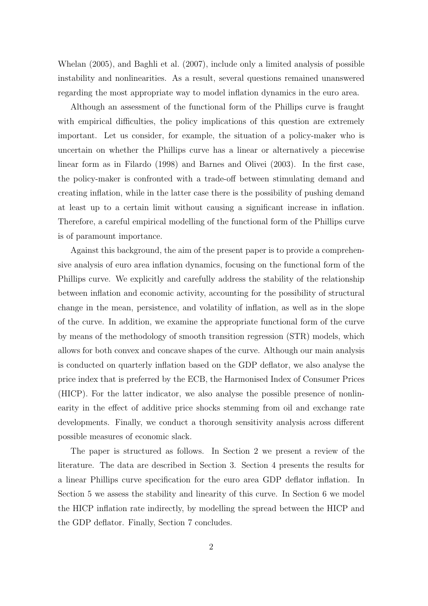Whelan (2005), and Baghli et al. (2007), include only a limited analysis of possible instability and nonlinearities. As a result, several questions remained unanswered regarding the most appropriate way to model inflation dynamics in the euro area.

Although an assessment of the functional form of the Phillips curve is fraught with empirical difficulties, the policy implications of this question are extremely important. Let us consider, for example, the situation of a policy-maker who is uncertain on whether the Phillips curve has a linear or alternatively a piecewise linear form as in Filardo (1998) and Barnes and Olivei (2003). In the first case, the policy-maker is confronted with a trade-off between stimulating demand and creating inflation, while in the latter case there is the possibility of pushing demand at least up to a certain limit without causing a significant increase in inflation. Therefore, a careful empirical modelling of the functional form of the Phillips curve is of paramount importance.

Against this background, the aim of the present paper is to provide a comprehensive analysis of euro area inflation dynamics, focusing on the functional form of the Phillips curve. We explicitly and carefully address the stability of the relationship between inflation and economic activity, accounting for the possibility of structural change in the mean, persistence, and volatility of inflation, as well as in the slope of the curve. In addition, we examine the appropriate functional form of the curve by means of the methodology of smooth transition regression (STR) models, which allows for both convex and concave shapes of the curve. Although our main analysis is conducted on quarterly inflation based on the GDP deflator, we also analyse the price index that is preferred by the ECB, the Harmonised Index of Consumer Prices (HICP). For the latter indicator, we also analyse the possible presence of nonlinearity in the effect of additive price shocks stemming from oil and exchange rate developments. Finally, we conduct a thorough sensitivity analysis across different possible measures of economic slack.

The paper is structured as follows. In Section 2 we present a review of the literature. The data are described in Section 3. Section 4 presents the results for a linear Phillips curve specification for the euro area GDP deflator inflation. In Section 5 we assess the stability and linearity of this curve. In Section 6 we model the HICP inflation rate indirectly, by modelling the spread between the HICP and the GDP deflator. Finally, Section 7 concludes.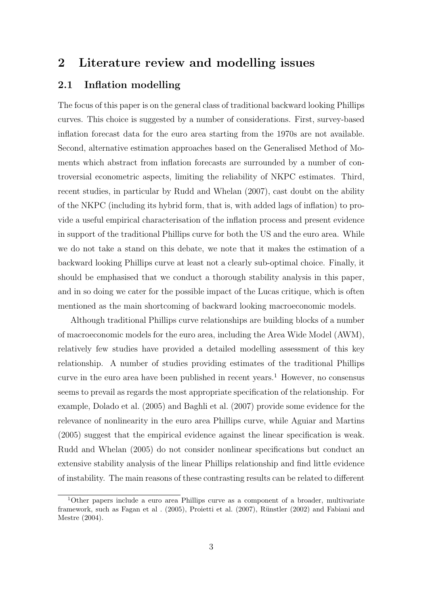# 2 Literature review and modelling issues

### 2.1 Inflation modelling

The focus of this paper is on the general class of traditional backward looking Phillips curves. This choice is suggested by a number of considerations. First, survey-based inflation forecast data for the euro area starting from the 1970s are not available. Second, alternative estimation approaches based on the Generalised Method of Moments which abstract from inflation forecasts are surrounded by a number of controversial econometric aspects, limiting the reliability of NKPC estimates. Third, recent studies, in particular by Rudd and Whelan (2007), cast doubt on the ability of the NKPC (including its hybrid form, that is, with added lags of inflation) to provide a useful empirical characterisation of the inflation process and present evidence in support of the traditional Phillips curve for both the US and the euro area. While we do not take a stand on this debate, we note that it makes the estimation of a backward looking Phillips curve at least not a clearly sub-optimal choice. Finally, it should be emphasised that we conduct a thorough stability analysis in this paper, and in so doing we cater for the possible impact of the Lucas critique, which is often mentioned as the main shortcoming of backward looking macroeconomic models.

Although traditional Phillips curve relationships are building blocks of a number of macroeconomic models for the euro area, including the Area Wide Model (AWM), relatively few studies have provided a detailed modelling assessment of this key relationship. A number of studies providing estimates of the traditional Phillips curve in the euro area have been published in recent years.<sup>1</sup> However, no consensus seems to prevail as regards the most appropriate specification of the relationship. For example, Dolado et al. (2005) and Baghli et al. (2007) provide some evidence for the relevance of nonlinearity in the euro area Phillips curve, while Aguiar and Martins (2005) suggest that the empirical evidence against the linear specification is weak. Rudd and Whelan (2005) do not consider nonlinear specifications but conduct an extensive stability analysis of the linear Phillips relationship and find little evidence of instability. The main reasons of these contrasting results can be related to different

<sup>&</sup>lt;sup>1</sup>Other papers include a euro area Phillips curve as a component of a broader, multivariate framework, such as Fagan et al.  $(2005)$ , Proietti et al.  $(2007)$ , Rünstler  $(2002)$  and Fabiani and Mestre (2004).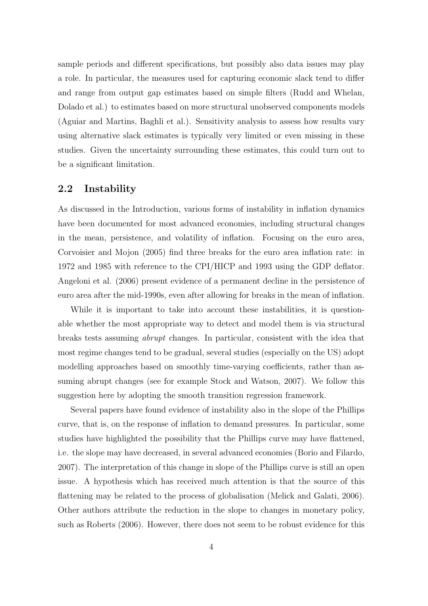sample periods and different specifications, but possibly also data issues may play a role. In particular, the measures used for capturing economic slack tend to differ and range from output gap estimates based on simple filters (Rudd and Whelan, Dolado et al.) to estimates based on more structural unobserved components models (Aguiar and Martins, Baghli et al.). Sensitivity analysis to assess how results vary using alternative slack estimates is typically very limited or even missing in these studies. Given the uncertainty surrounding these estimates, this could turn out to be a significant limitation.

### 2.2 Instability

As discussed in the Introduction, various forms of instability in inflation dynamics have been documented for most advanced economies, including structural changes in the mean, persistence, and volatility of inflation. Focusing on the euro area, Corvoisier and Mojon (2005) find three breaks for the euro area inflation rate: in 1972 and 1985 with reference to the CPI/HICP and 1993 using the GDP deflator. Angeloni et al. (2006) present evidence of a permanent decline in the persistence of euro area after the mid-1990s, even after allowing for breaks in the mean of inflation.

While it is important to take into account these instabilities, it is questionable whether the most appropriate way to detect and model them is via structural breaks tests assuming abrupt changes. In particular, consistent with the idea that most regime changes tend to be gradual, several studies (especially on the US) adopt modelling approaches based on smoothly time-varying coefficients, rather than assuming abrupt changes (see for example Stock and Watson, 2007). We follow this suggestion here by adopting the smooth transition regression framework.

Several papers have found evidence of instability also in the slope of the Phillips curve, that is, on the response of inflation to demand pressures. In particular, some studies have highlighted the possibility that the Phillips curve may have flattened, i.e. the slope may have decreased, in several advanced economies (Borio and Filardo, 2007). The interpretation of this change in slope of the Phillips curve is still an open issue. A hypothesis which has received much attention is that the source of this flattening may be related to the process of globalisation (Melick and Galati, 2006). Other authors attribute the reduction in the slope to changes in monetary policy, such as Roberts (2006). However, there does not seem to be robust evidence for this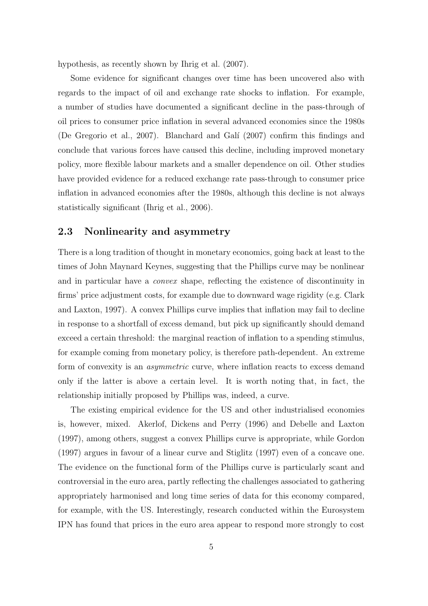hypothesis, as recently shown by Ihrig et al. (2007).

Some evidence for significant changes over time has been uncovered also with regards to the impact of oil and exchange rate shocks to inflation. For example, a number of studies have documented a significant decline in the pass-through of oil prices to consumer price inflation in several advanced economies since the 1980s (De Gregorio et al., 2007). Blanchard and Gal´ı (2007) confirm this findings and conclude that various forces have caused this decline, including improved monetary policy, more flexible labour markets and a smaller dependence on oil. Other studies have provided evidence for a reduced exchange rate pass-through to consumer price inflation in advanced economies after the 1980s, although this decline is not always statistically significant (Ihrig et al., 2006).

### 2.3 Nonlinearity and asymmetry

There is a long tradition of thought in monetary economics, going back at least to the times of John Maynard Keynes, suggesting that the Phillips curve may be nonlinear and in particular have a convex shape, reflecting the existence of discontinuity in firms' price adjustment costs, for example due to downward wage rigidity (e.g. Clark and Laxton, 1997). A convex Phillips curve implies that inflation may fail to decline in response to a shortfall of excess demand, but pick up significantly should demand exceed a certain threshold: the marginal reaction of inflation to a spending stimulus, for example coming from monetary policy, is therefore path-dependent. An extreme form of convexity is an asymmetric curve, where inflation reacts to excess demand only if the latter is above a certain level. It is worth noting that, in fact, the relationship initially proposed by Phillips was, indeed, a curve.

The existing empirical evidence for the US and other industrialised economies is, however, mixed. Akerlof, Dickens and Perry (1996) and Debelle and Laxton (1997), among others, suggest a convex Phillips curve is appropriate, while Gordon (1997) argues in favour of a linear curve and Stiglitz (1997) even of a concave one. The evidence on the functional form of the Phillips curve is particularly scant and controversial in the euro area, partly reflecting the challenges associated to gathering appropriately harmonised and long time series of data for this economy compared, for example, with the US. Interestingly, research conducted within the Eurosystem IPN has found that prices in the euro area appear to respond more strongly to cost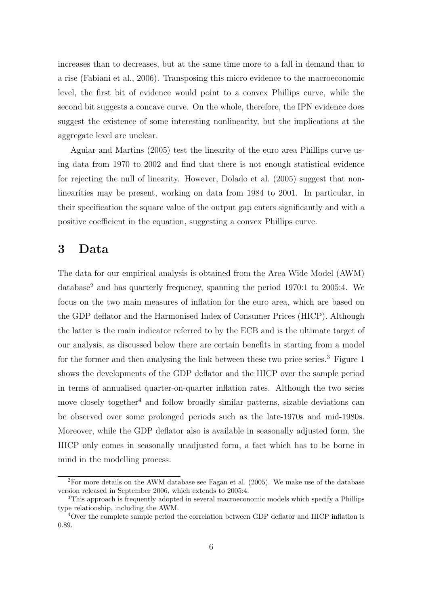increases than to decreases, but at the same time more to a fall in demand than to a rise (Fabiani et al., 2006). Transposing this micro evidence to the macroeconomic level, the first bit of evidence would point to a convex Phillips curve, while the second bit suggests a concave curve. On the whole, therefore, the IPN evidence does suggest the existence of some interesting nonlinearity, but the implications at the aggregate level are unclear.

Aguiar and Martins (2005) test the linearity of the euro area Phillips curve using data from 1970 to 2002 and find that there is not enough statistical evidence for rejecting the null of linearity. However, Dolado et al. (2005) suggest that nonlinearities may be present, working on data from 1984 to 2001. In particular, in their specification the square value of the output gap enters significantly and with a positive coefficient in the equation, suggesting a convex Phillips curve.

# 3 Data

The data for our empirical analysis is obtained from the Area Wide Model (AWM) database<sup>2</sup> and has quarterly frequency, spanning the period 1970:1 to 2005:4. We focus on the two main measures of inflation for the euro area, which are based on the GDP deflator and the Harmonised Index of Consumer Prices (HICP). Although the latter is the main indicator referred to by the ECB and is the ultimate target of our analysis, as discussed below there are certain benefits in starting from a model for the former and then analysing the link between these two price series.<sup>3</sup> Figure 1 shows the developments of the GDP deflator and the HICP over the sample period in terms of annualised quarter-on-quarter inflation rates. Although the two series move closely together<sup>4</sup> and follow broadly similar patterns, sizable deviations can be observed over some prolonged periods such as the late-1970s and mid-1980s. Moreover, while the GDP deflator also is available in seasonally adjusted form, the HICP only comes in seasonally unadjusted form, a fact which has to be borne in mind in the modelling process.

<sup>2</sup>For more details on the AWM database see Fagan et al. (2005). We make use of the database version released in September 2006, which extends to 2005:4.

<sup>3</sup>This approach is frequently adopted in several macroeconomic models which specify a Phillips type relationship, including the AWM.

<sup>4</sup>Over the complete sample period the correlation between GDP deflator and HICP inflation is 0.89.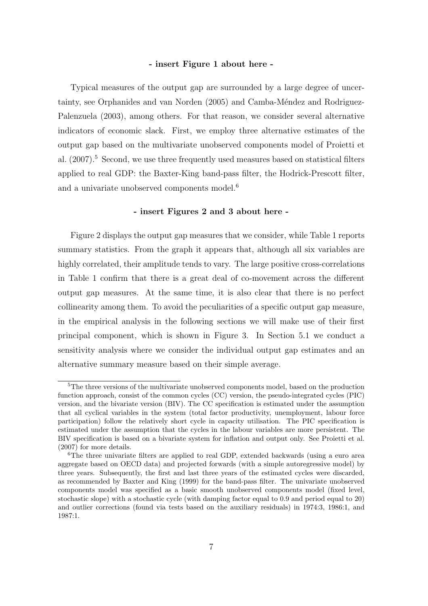### - insert Figure 1 about here -

Typical measures of the output gap are surrounded by a large degree of uncertainty, see Orphanides and van Norden (2005) and Camba-Méndez and Rodriguez-Palenzuela (2003), among others. For that reason, we consider several alternative indicators of economic slack. First, we employ three alternative estimates of the output gap based on the multivariate unobserved components model of Proietti et al.  $(2007)$ <sup>5</sup> Second, we use three frequently used measures based on statistical filters applied to real GDP: the Baxter-King band-pass filter, the Hodrick-Prescott filter, and a univariate unobserved components model.<sup>6</sup>

### - insert Figures 2 and 3 about here -

Figure 2 displays the output gap measures that we consider, while Table 1 reports summary statistics. From the graph it appears that, although all six variables are highly correlated, their amplitude tends to vary. The large positive cross-correlations in Table 1 confirm that there is a great deal of co-movement across the different output gap measures. At the same time, it is also clear that there is no perfect collinearity among them. To avoid the peculiarities of a specific output gap measure, in the empirical analysis in the following sections we will make use of their first principal component, which is shown in Figure 3. In Section 5.1 we conduct a sensitivity analysis where we consider the individual output gap estimates and an alternative summary measure based on their simple average.

<sup>&</sup>lt;sup>5</sup>The three versions of the multivariate unobserved components model, based on the production function approach, consist of the common cycles (CC) version, the pseudo-integrated cycles (PIC) version, and the bivariate version (BIV). The CC specification is estimated under the assumption that all cyclical variables in the system (total factor productivity, unemployment, labour force participation) follow the relatively short cycle in capacity utilisation. The PIC specification is estimated under the assumption that the cycles in the labour variables are more persistent. The BIV specification is based on a bivariate system for inflation and output only. See Proietti et al. (2007) for more details.

<sup>6</sup>The three univariate filters are applied to real GDP, extended backwards (using a euro area aggregate based on OECD data) and projected forwards (with a simple autoregressive model) by three years. Subsequently, the first and last three years of the estimated cycles were discarded, as recommended by Baxter and King (1999) for the band-pass filter. The univariate unobserved components model was specified as a basic smooth unobserved components model (fixed level, stochastic slope) with a stochastic cycle (with damping factor equal to 0.9 and period equal to 20) and outlier corrections (found via tests based on the auxiliary residuals) in 1974:3, 1986:1, and 1987:1.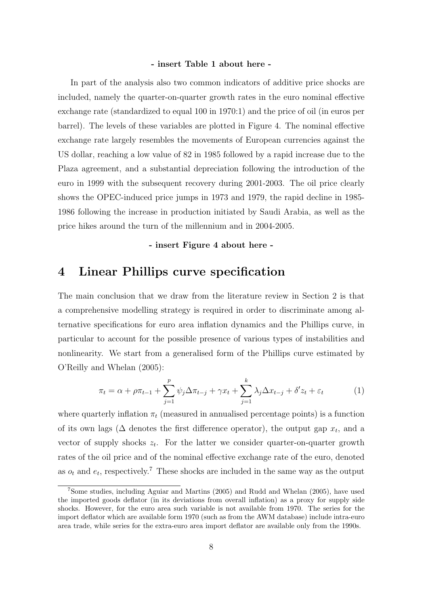### - insert Table 1 about here -

In part of the analysis also two common indicators of additive price shocks are included, namely the quarter-on-quarter growth rates in the euro nominal effective exchange rate (standardized to equal 100 in 1970:1) and the price of oil (in euros per barrel). The levels of these variables are plotted in Figure 4. The nominal effective exchange rate largely resembles the movements of European currencies against the US dollar, reaching a low value of 82 in 1985 followed by a rapid increase due to the Plaza agreement, and a substantial depreciation following the introduction of the euro in 1999 with the subsequent recovery during 2001-2003. The oil price clearly shows the OPEC-induced price jumps in 1973 and 1979, the rapid decline in 1985- 1986 following the increase in production initiated by Saudi Arabia, as well as the price hikes around the turn of the millennium and in 2004-2005.

- insert Figure 4 about here -

### 4 Linear Phillips curve specification

The main conclusion that we draw from the literature review in Section 2 is that a comprehensive modelling strategy is required in order to discriminate among alternative specifications for euro area inflation dynamics and the Phillips curve, in particular to account for the possible presence of various types of instabilities and nonlinearity. We start from a generalised form of the Phillips curve estimated by O'Reilly and Whelan (2005):

$$
\pi_t = \alpha + \rho \pi_{t-1} + \sum_{j=1}^p \psi_j \Delta \pi_{t-j} + \gamma x_t + \sum_{j=1}^k \lambda_j \Delta x_{t-j} + \delta' z_t + \varepsilon_t \tag{1}
$$

where quarterly inflation  $\pi_t$  (measured in annualised percentage points) is a function of its own lags ( $\Delta$  denotes the first difference operator), the output gap  $x_t$ , and a vector of supply shocks  $z_t$ . For the latter we consider quarter-on-quarter growth rates of the oil price and of the nominal effective exchange rate of the euro, denoted as  $o_t$  and  $e_t$ , respectively.<sup>7</sup> These shocks are included in the same way as the output

<sup>7</sup>Some studies, including Aguiar and Martins (2005) and Rudd and Whelan (2005), have used the imported goods deflator (in its deviations from overall inflation) as a proxy for supply side shocks. However, for the euro area such variable is not available from 1970. The series for the import deflator which are available form 1970 (such as from the AWM database) include intra-euro area trade, while series for the extra-euro area import deflator are available only from the 1990s.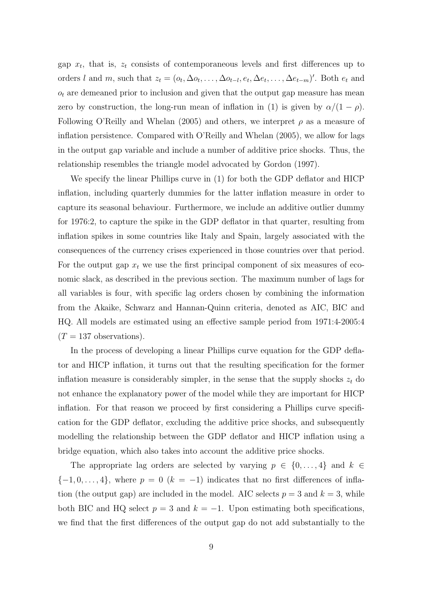gap  $x_t$ , that is,  $z_t$  consists of contemporaneous levels and first differences up to orders l and m, such that  $z_t = (o_t, \Delta o_t, \ldots, \Delta o_{t-l}, e_t, \Delta e_t, \ldots, \Delta e_{t-m})'$ . Both  $e_t$  and  $o_t$  are demeaned prior to inclusion and given that the output gap measure has mean zero by construction, the long-run mean of inflation in (1) is given by  $\alpha/(1-\rho)$ . Following O'Reilly and Whelan (2005) and others, we interpret  $\rho$  as a measure of inflation persistence. Compared with O'Reilly and Whelan (2005), we allow for lags in the output gap variable and include a number of additive price shocks. Thus, the relationship resembles the triangle model advocated by Gordon (1997).

We specify the linear Phillips curve in (1) for both the GDP deflator and HICP inflation, including quarterly dummies for the latter inflation measure in order to capture its seasonal behaviour. Furthermore, we include an additive outlier dummy for 1976:2, to capture the spike in the GDP deflator in that quarter, resulting from inflation spikes in some countries like Italy and Spain, largely associated with the consequences of the currency crises experienced in those countries over that period. For the output gap  $x_t$  we use the first principal component of six measures of economic slack, as described in the previous section. The maximum number of lags for all variables is four, with specific lag orders chosen by combining the information from the Akaike, Schwarz and Hannan-Quinn criteria, denoted as AIC, BIC and HQ. All models are estimated using an effective sample period from 1971:4-2005:4  $(T = 137$  observations).

In the process of developing a linear Phillips curve equation for the GDP deflator and HICP inflation, it turns out that the resulting specification for the former inflation measure is considerably simpler, in the sense that the supply shocks  $z_t$  do not enhance the explanatory power of the model while they are important for HICP inflation. For that reason we proceed by first considering a Phillips curve specification for the GDP deflator, excluding the additive price shocks, and subsequently modelling the relationship between the GDP deflator and HICP inflation using a bridge equation, which also takes into account the additive price shocks.

The appropriate lag orders are selected by varying  $p \in \{0, \ldots, 4\}$  and  $k \in$  $\{-1, 0, \ldots, 4\}$ , where  $p = 0$   $(k = -1)$  indicates that no first differences of inflation (the output gap) are included in the model. AIC selects  $p = 3$  and  $k = 3$ , while both BIC and HQ select  $p = 3$  and  $k = -1$ . Upon estimating both specifications, we find that the first differences of the output gap do not add substantially to the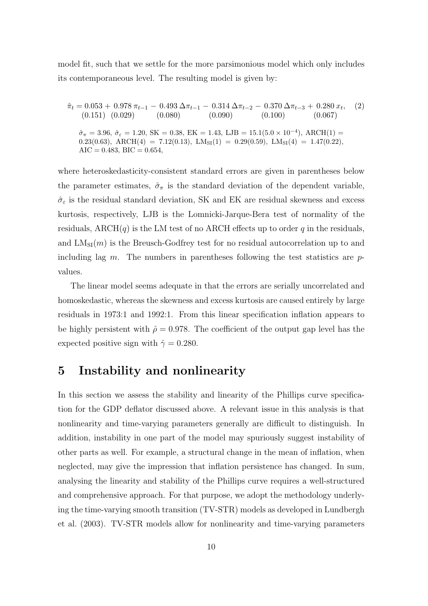model fit, such that we settle for the more parsimonious model which only includes its contemporaneous level. The resulting model is given by:

 $\hat{\pi}_t = 0.053 + 0.978 \pi_{t-1} - 0.493 \Delta \pi_{t-1} - 0.314 \Delta \pi_{t-2} - 0.370 \Delta \pi_{t-3} + 0.280 \, x_t$  $(2)$  $(0.151) (0.029) (0.080) (0.090) (0.100) (0.067)$  $\hat{\sigma}_{\pi} = 3.96, \ \hat{\sigma}_{\varepsilon} = 1.20, \ \text{SK} = 0.38, \ \text{EK} = 1.43, \ \text{LJB} = 15.1(5.0 \times 10^{-4}), \ \text{ARCH}(1) =$ 0.23(0.63), ARCH(4) = 7.12(0.13), LM<sub>SI</sub>(1) = 0.29(0.59), LM<sub>SI</sub>(4) = 1.47(0.22),  $AIC = 0.483, BIC = 0.654,$ 

where heteroskedasticity-consistent standard errors are given in parentheses below the parameter estimates,  $\hat{\sigma}_{\pi}$  is the standard deviation of the dependent variable,  $\hat{\sigma}_{\varepsilon}$  is the residual standard deviation, SK and EK are residual skewness and excess kurtosis, respectively, LJB is the Lomnicki-Jarque-Bera test of normality of the residuals, ARCH $(q)$  is the LM test of no ARCH effects up to order q in the residuals, and  $LM_{SI}(m)$  is the Breusch-Godfrey test for no residual autocorrelation up to and including lag m. The numbers in parentheses following the test statistics are  $p$ values.

The linear model seems adequate in that the errors are serially uncorrelated and homoskedastic, whereas the skewness and excess kurtosis are caused entirely by large residuals in 1973:1 and 1992:1. From this linear specification inflation appears to be highly persistent with  $\hat{\rho} = 0.978$ . The coefficient of the output gap level has the expected positive sign with  $\hat{\gamma} = 0.280$ .

### 5 Instability and nonlinearity

In this section we assess the stability and linearity of the Phillips curve specification for the GDP deflator discussed above. A relevant issue in this analysis is that nonlinearity and time-varying parameters generally are difficult to distinguish. In addition, instability in one part of the model may spuriously suggest instability of other parts as well. For example, a structural change in the mean of inflation, when neglected, may give the impression that inflation persistence has changed. In sum, analysing the linearity and stability of the Phillips curve requires a well-structured and comprehensive approach. For that purpose, we adopt the methodology underlying the time-varying smooth transition (TV-STR) models as developed in Lundbergh et al. (2003). TV-STR models allow for nonlinearity and time-varying parameters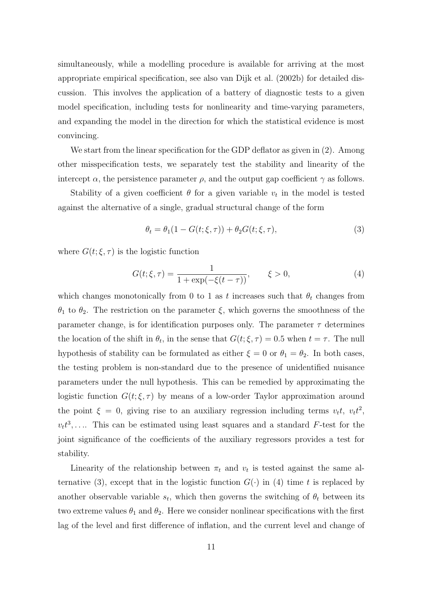simultaneously, while a modelling procedure is available for arriving at the most appropriate empirical specification, see also van Dijk et al. (2002b) for detailed discussion. This involves the application of a battery of diagnostic tests to a given model specification, including tests for nonlinearity and time-varying parameters, and expanding the model in the direction for which the statistical evidence is most convincing.

We start from the linear specification for the GDP deflator as given in  $(2)$ . Among other misspecification tests, we separately test the stability and linearity of the intercept  $\alpha$ , the persistence parameter  $\rho$ , and the output gap coefficient  $\gamma$  as follows.

Stability of a given coefficient  $\theta$  for a given variable  $v_t$  in the model is tested against the alternative of a single, gradual structural change of the form

$$
\theta_t = \theta_1 (1 - G(t; \xi, \tau)) + \theta_2 G(t; \xi, \tau), \tag{3}
$$

where  $G(t;\xi,\tau)$  is the logistic function

$$
G(t; \xi, \tau) = \frac{1}{1 + \exp(-\xi(t - \tau))}, \qquad \xi > 0,
$$
\n(4)

which changes monotonically from 0 to 1 as t increases such that  $\theta_t$  changes from  $θ_1$  to  $θ_2$ . The restriction on the parameter  $ξ$ , which governs the smoothness of the parameter change, is for identification purposes only. The parameter  $\tau$  determines the location of the shift in  $\theta_t$ , in the sense that  $G(t;\xi,\tau) = 0.5$  when  $t = \tau$ . The null hypothesis of stability can be formulated as either  $\xi = 0$  or  $\theta_1 = \theta_2$ . In both cases, the testing problem is non-standard due to the presence of unidentified nuisance parameters under the null hypothesis. This can be remedied by approximating the logistic function  $G(t;\xi,\tau)$  by means of a low-order Taylor approximation around the point  $\xi = 0$ , giving rise to an auxiliary regression including terms  $v_t t$ ,  $v_t t^2$ ,  $v_t t^3$ ,.... This can be estimated using least squares and a standard F-test for the joint significance of the coefficients of the auxiliary regressors provides a test for stability.

Linearity of the relationship between  $\pi_t$  and  $v_t$  is tested against the same alternative (3), except that in the logistic function  $G(\cdot)$  in (4) time t is replaced by another observable variable  $s_t$ , which then governs the switching of  $\theta_t$  between its two extreme values  $\theta_1$  and  $\theta_2$ . Here we consider nonlinear specifications with the first lag of the level and first difference of inflation, and the current level and change of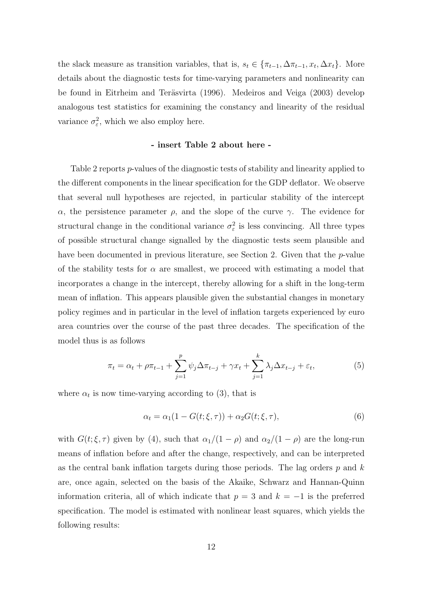the slack measure as transition variables, that is,  $s_t \in \{\pi_{t-1}, \Delta \pi_{t-1}, x_t, \Delta x_t\}$ . More details about the diagnostic tests for time-varying parameters and nonlinearity can be found in Eitrheim and Teräsvirta (1996). Medeiros and Veiga (2003) develop analogous test statistics for examining the constancy and linearity of the residual variance  $\sigma_{\varepsilon}^2$ , which we also employ here.

### - insert Table 2 about here -

Table 2 reports p-values of the diagnostic tests of stability and linearity applied to the different components in the linear specification for the GDP deflator. We observe that several null hypotheses are rejected, in particular stability of the intercept α, the persistence parameter  $ρ$ , and the slope of the curve  $γ$ . The evidence for structural change in the conditional variance  $\sigma_{\varepsilon}^2$  is less convincing. All three types of possible structural change signalled by the diagnostic tests seem plausible and have been documented in previous literature, see Section 2. Given that the p-value of the stability tests for  $\alpha$  are smallest, we proceed with estimating a model that incorporates a change in the intercept, thereby allowing for a shift in the long-term mean of inflation. This appears plausible given the substantial changes in monetary policy regimes and in particular in the level of inflation targets experienced by euro area countries over the course of the past three decades. The specification of the model thus is as follows

$$
\pi_t = \alpha_t + \rho \pi_{t-1} + \sum_{j=1}^p \psi_j \Delta \pi_{t-j} + \gamma x_t + \sum_{j=1}^k \lambda_j \Delta x_{t-j} + \varepsilon_t,
$$
\n(5)

where  $\alpha_t$  is now time-varying according to (3), that is

$$
\alpha_t = \alpha_1 (1 - G(t; \xi, \tau)) + \alpha_2 G(t; \xi, \tau), \tag{6}
$$

with  $G(t;\xi,\tau)$  given by (4), such that  $\alpha_1/(1-\rho)$  and  $\alpha_2/(1-\rho)$  are the long-run means of inflation before and after the change, respectively, and can be interpreted as the central bank inflation targets during those periods. The lag orders  $p$  and  $k$ are, once again, selected on the basis of the Akaike, Schwarz and Hannan-Quinn information criteria, all of which indicate that  $p = 3$  and  $k = -1$  is the preferred specification. The model is estimated with nonlinear least squares, which yields the following results: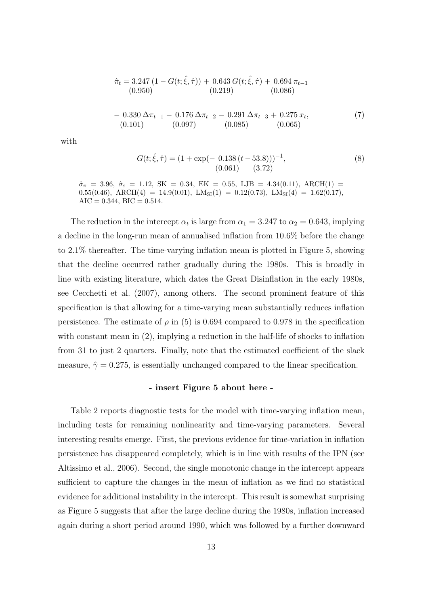$$
\hat{\pi}_t = 3.247 (1 - G(t; \hat{\xi}, \hat{\tau})) + 0.643 G(t; \hat{\xi}, \hat{\tau}) + 0.694 \pi_{t-1}
$$
  
(0.950) (0.219) (0.086)  

$$
- 0.330 \Delta \pi_{t-1} - 0.176 \Delta \pi_{t-2} - 0.291 \Delta \pi_{t-3} + 0.275 \ x_t,
$$
  
(0.101) (0.097) (0.085) (0.065)

with

$$
G(t; \hat{\xi}, \hat{\tau}) = (1 + \exp(-0.138(t - 53.8)))^{-1},
$$
  
(0.061) (3.72)

 $\hat{\sigma}_{\pi}$  = 3.96,  $\hat{\sigma}_{\varepsilon}$  = 1.12, SK = 0.34, EK = 0.55, LJB = 4.34(0.11), ARCH(1) = 0.55(0.46), ARCH(4) = 14.9(0.01), LM<sub>SI</sub>(1) = 0.12(0.73), LM<sub>SI</sub>(4) = 1.62(0.17),  $AIC = 0.344, BIC = 0.514.$ 

The reduction in the intercept  $\alpha_t$  is large from  $\alpha_1 = 3.247$  to  $\alpha_2 = 0.643$ , implying a decline in the long-run mean of annualised inflation from 10.6% before the change to 2.1% thereafter. The time-varying inflation mean is plotted in Figure 5, showing that the decline occurred rather gradually during the 1980s. This is broadly in line with existing literature, which dates the Great Disinflation in the early 1980s, see Cecchetti et al. (2007), among others. The second prominent feature of this specification is that allowing for a time-varying mean substantially reduces inflation persistence. The estimate of  $\rho$  in (5) is 0.694 compared to 0.978 in the specification with constant mean in (2), implying a reduction in the half-life of shocks to inflation from 31 to just 2 quarters. Finally, note that the estimated coefficient of the slack measure,  $\hat{\gamma} = 0.275$ , is essentially unchanged compared to the linear specification.

#### - insert Figure 5 about here -

Table 2 reports diagnostic tests for the model with time-varying inflation mean, including tests for remaining nonlinearity and time-varying parameters. Several interesting results emerge. First, the previous evidence for time-variation in inflation persistence has disappeared completely, which is in line with results of the IPN (see Altissimo et al., 2006). Second, the single monotonic change in the intercept appears sufficient to capture the changes in the mean of inflation as we find no statistical evidence for additional instability in the intercept. This result is somewhat surprising as Figure 5 suggests that after the large decline during the 1980s, inflation increased again during a short period around 1990, which was followed by a further downward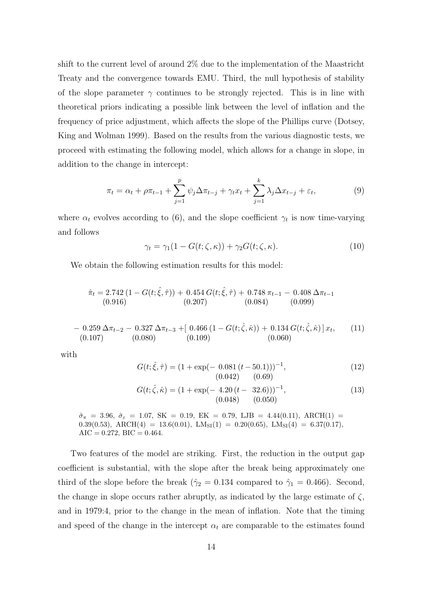shift to the current level of around 2% due to the implementation of the Maastricht Treaty and the convergence towards EMU. Third, the null hypothesis of stability of the slope parameter  $\gamma$  continues to be strongly rejected. This is in line with theoretical priors indicating a possible link between the level of inflation and the frequency of price adjustment, which affects the slope of the Phillips curve (Dotsey, King and Wolman 1999). Based on the results from the various diagnostic tests, we proceed with estimating the following model, which allows for a change in slope, in addition to the change in intercept:

$$
\pi_t = \alpha_t + \rho \pi_{t-1} + \sum_{j=1}^p \psi_j \Delta \pi_{t-j} + \gamma_t x_t + \sum_{j=1}^k \lambda_j \Delta x_{t-j} + \varepsilon_t,
$$
\n(9)

where  $\alpha_t$  evolves according to (6), and the slope coefficient  $\gamma_t$  is now time-varying and follows

$$
\gamma_t = \gamma_1 (1 - G(t; \zeta, \kappa)) + \gamma_2 G(t; \zeta, \kappa). \tag{10}
$$

We obtain the following estimation results for this model:

$$
\hat{\pi}_t = 2.742 (1 - G(t; \hat{\xi}, \hat{\tau})) + 0.454 G(t; \hat{\xi}, \hat{\tau}) + 0.748 \pi_{t-1} - 0.408 \Delta \pi_{t-1}
$$
\n
$$
(0.916) \qquad (0.207) \qquad (0.084) \qquad (0.099)
$$
\n
$$
- 0.259 \Delta \pi_{t-2} - 0.327 \Delta \pi_{t-3} + [ 0.466 (1 - G(t; \hat{\zeta}, \hat{\kappa})) + 0.134 G(t; \hat{\zeta}, \hat{\kappa}) ] x_t, \qquad (11)
$$
\n
$$
(0.107) \qquad (0.080) \qquad (0.109) \qquad (0.060)
$$

with

$$
G(t; \hat{\xi}, \hat{\tau}) = (1 + \exp(-0.081(t - 50.1)))^{-1},
$$
  
(0.042) (0.69)

$$
G(t; \hat{\zeta}, \hat{\kappa}) = (1 + \exp(-4.20(t - 32.6)))^{-1},
$$
  
(0.048) (0.050)

 $\hat{\sigma}_{\pi}$  = 3.96,  $\hat{\sigma}_{\varepsilon}$  = 1.07, SK = 0.19, EK = 0.79, LJB = 4.44(0.11), ARCH(1) = 0.39(0.53), ARCH(4) = 13.6(0.01), LM<sub>SI</sub>(1) = 0.20(0.65), LM<sub>SI</sub>(4) = 6.37(0.17),  $AIC = 0.272, BIC = 0.464.$ 

Two features of the model are striking. First, the reduction in the output gap coefficient is substantial, with the slope after the break being approximately one third of the slope before the break ( $\hat{\gamma}_2 = 0.134$  compared to  $\hat{\gamma}_1 = 0.466$ ). Second, the change in slope occurs rather abruptly, as indicated by the large estimate of  $\zeta$ , and in 1979:4, prior to the change in the mean of inflation. Note that the timing and speed of the change in the intercept  $\alpha_t$  are comparable to the estimates found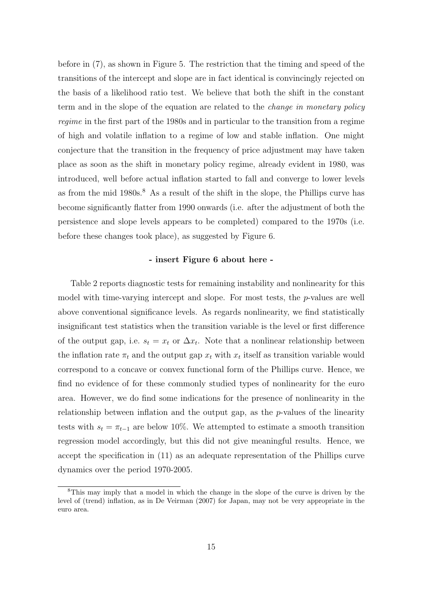before in (7), as shown in Figure 5. The restriction that the timing and speed of the transitions of the intercept and slope are in fact identical is convincingly rejected on the basis of a likelihood ratio test. We believe that both the shift in the constant term and in the slope of the equation are related to the change in monetary policy regime in the first part of the 1980s and in particular to the transition from a regime of high and volatile inflation to a regime of low and stable inflation. One might conjecture that the transition in the frequency of price adjustment may have taken place as soon as the shift in monetary policy regime, already evident in 1980, was introduced, well before actual inflation started to fall and converge to lower levels as from the mid 1980s.<sup>8</sup> As a result of the shift in the slope, the Phillips curve has become significantly flatter from 1990 onwards (i.e. after the adjustment of both the persistence and slope levels appears to be completed) compared to the 1970s (i.e. before these changes took place), as suggested by Figure 6.

### - insert Figure 6 about here -

Table 2 reports diagnostic tests for remaining instability and nonlinearity for this model with time-varying intercept and slope. For most tests, the p-values are well above conventional significance levels. As regards nonlinearity, we find statistically insignificant test statistics when the transition variable is the level or first difference of the output gap, i.e.  $s_t = x_t$  or  $\Delta x_t$ . Note that a nonlinear relationship between the inflation rate  $\pi_t$  and the output gap  $x_t$  with  $x_t$  itself as transition variable would correspond to a concave or convex functional form of the Phillips curve. Hence, we find no evidence of for these commonly studied types of nonlinearity for the euro area. However, we do find some indications for the presence of nonlinearity in the relationship between inflation and the output gap, as the p-values of the linearity tests with  $s_t = \pi_{t-1}$  are below 10%. We attempted to estimate a smooth transition regression model accordingly, but this did not give meaningful results. Hence, we accept the specification in (11) as an adequate representation of the Phillips curve dynamics over the period 1970-2005.

<sup>8</sup>This may imply that a model in which the change in the slope of the curve is driven by the level of (trend) inflation, as in De Veirman (2007) for Japan, may not be very appropriate in the euro area.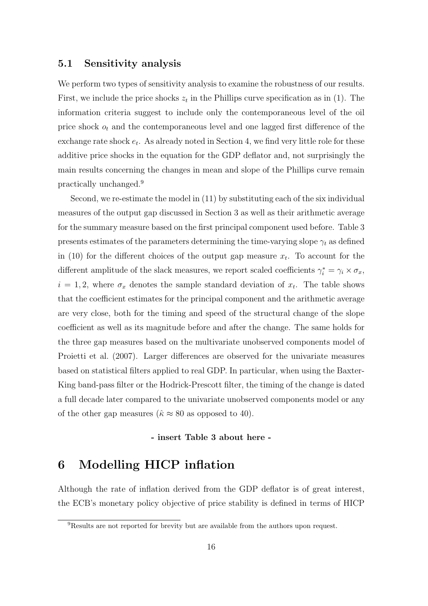### 5.1 Sensitivity analysis

We perform two types of sensitivity analysis to examine the robustness of our results. First, we include the price shocks  $z_t$  in the Phillips curve specification as in (1). The information criteria suggest to include only the contemporaneous level of the oil price shock  $o_t$  and the contemporaneous level and one lagged first difference of the exchange rate shock  $e_t$ . As already noted in Section 4, we find very little role for these additive price shocks in the equation for the GDP deflator and, not surprisingly the main results concerning the changes in mean and slope of the Phillips curve remain practically unchanged.<sup>9</sup>

Second, we re-estimate the model in (11) by substituting each of the six individual measures of the output gap discussed in Section 3 as well as their arithmetic average for the summary measure based on the first principal component used before. Table 3 presents estimates of the parameters determining the time-varying slope  $\gamma_t$  as defined in (10) for the different choices of the output gap measure  $x_t$ . To account for the different amplitude of the slack measures, we report scaled coefficients  $\gamma_i^* = \gamma_i \times \sigma_x$ ,  $i = 1, 2$ , where  $\sigma_x$  denotes the sample standard deviation of  $x_t$ . The table shows that the coefficient estimates for the principal component and the arithmetic average are very close, both for the timing and speed of the structural change of the slope coefficient as well as its magnitude before and after the change. The same holds for the three gap measures based on the multivariate unobserved components model of Proietti et al. (2007). Larger differences are observed for the univariate measures based on statistical filters applied to real GDP. In particular, when using the Baxter-King band-pass filter or the Hodrick-Prescott filter, the timing of the change is dated a full decade later compared to the univariate unobserved components model or any of the other gap measures ( $\hat{\kappa} \approx 80$  as opposed to 40).

- insert Table 3 about here -

# 6 Modelling HICP inflation

Although the rate of inflation derived from the GDP deflator is of great interest, the ECB's monetary policy objective of price stability is defined in terms of HICP

<sup>&</sup>lt;sup>9</sup>Results are not reported for brevity but are available from the authors upon request.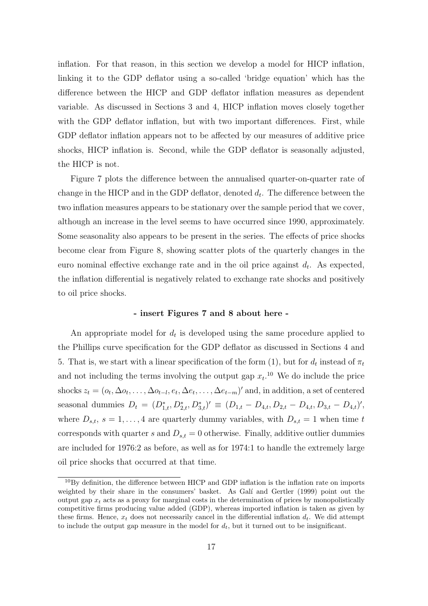inflation. For that reason, in this section we develop a model for HICP inflation, linking it to the GDP deflator using a so-called 'bridge equation' which has the difference between the HICP and GDP deflator inflation measures as dependent variable. As discussed in Sections 3 and 4, HICP inflation moves closely together with the GDP deflator inflation, but with two important differences. First, while GDP deflator inflation appears not to be affected by our measures of additive price shocks, HICP inflation is. Second, while the GDP deflator is seasonally adjusted, the HICP is not.

Figure 7 plots the difference between the annualised quarter-on-quarter rate of change in the HICP and in the GDP deflator, denoted  $d_t$ . The difference between the two inflation measures appears to be stationary over the sample period that we cover, although an increase in the level seems to have occurred since 1990, approximately. Some seasonality also appears to be present in the series. The effects of price shocks become clear from Figure 8, showing scatter plots of the quarterly changes in the euro nominal effective exchange rate and in the oil price against  $d_t$ . As expected, the inflation differential is negatively related to exchange rate shocks and positively to oil price shocks.

### - insert Figures 7 and 8 about here -

An appropriate model for  $d_t$  is developed using the same procedure applied to the Phillips curve specification for the GDP deflator as discussed in Sections 4 and 5. That is, we start with a linear specification of the form (1), but for  $d_t$  instead of  $\pi_t$ and not including the terms involving the output gap  $x_t$ .<sup>10</sup> We do include the price shocks  $z_t = (o_t, \Delta o_t, \ldots, \Delta o_{t-l}, e_t, \Delta e_t, \ldots, \Delta e_{t-m})'$  and, in addition, a set of centered seasonal dummies  $D_t = (D_{1,t}^*, D_{2,t}^*, D_{3,t}^*)' \equiv (D_{1,t} - D_{4,t}, D_{2,t} - D_{4,t}, D_{3,t} - D_{4,t})'$ , where  $D_{s,t}$ ,  $s = 1, \ldots, 4$  are quarterly dummy variables, with  $D_{s,t} = 1$  when time t corresponds with quarter s and  $D_{s,t} = 0$  otherwise. Finally, additive outlier dummies are included for 1976:2 as before, as well as for 1974:1 to handle the extremely large oil price shocks that occurred at that time.

 $10By$  definition, the difference between HICP and GDP inflation is the inflation rate on imports weighted by their share in the consumers' basket. As Galí and Gertler (1999) point out the output gap  $x_t$  acts as a proxy for marginal costs in the determination of prices by monopolistically competitive firms producing value added (GDP), whereas imported inflation is taken as given by these firms. Hence,  $x_t$  does not necessarily cancel in the differential inflation  $d_t$ . We did attempt to include the output gap measure in the model for  $d_t$ , but it turned out to be insignificant.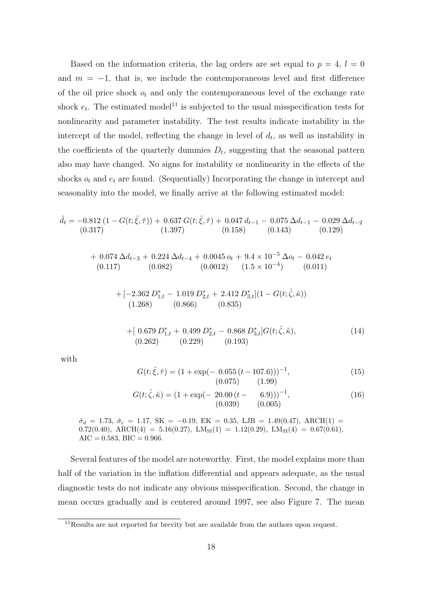Based on the information criteria, the lag orders are set equal to  $p = 4$ ,  $l = 0$ and  $m = -1$ , that is, we include the contemporaneous level and first difference of the oil price shock  $o_t$  and only the contemporaneous level of the exchange rate shock  $e_t$ . The estimated model<sup>11</sup> is subjected to the usual misspecification tests for nonlinearity and parameter instability. The test results indicate instability in the intercept of the model, reflecting the change in level of  $d_t$ , as well as instability in the coefficients of the quarterly dummies  $D_t$ , suggesting that the seasonal pattern also may have changed. No signs for instability or nonlinearity in the effects of the shocks  $o_t$  and  $e_t$  are found. (Sequentially) Incorporating the change in intercept and seasonality into the model, we finally arrive at the following estimated model:

$$
\hat{d}_t = -0.812 \left( 1 - G(t; \hat{\xi}, \hat{\tau}) \right) + 0.637 \, G(t; \hat{\xi}, \hat{\tau}) + 0.047 \, d_{t-1} - 0.075 \, \Delta d_{t-1} - 0.029 \, \Delta d_{t-2} \n(0.317) \qquad (1.397) \qquad (0.158) \qquad (0.143) \qquad (0.129)
$$

+ 0.074  $\Delta d_{t-3}$  + 0.224  $\Delta d_{t-4}$  + 0.0045  $o_t$  + 9.4 × 10<sup>-5</sup>  $\Delta o_t$  – 0.042  $e_t$  $(0.117)$   $(0.082)$   $(0.0012)$   $(1.5 \times 10^{-4})$   $(0.011)$ 

+
$$
[-2.362 D_{1,t}^* - 1.019 D_{2,t}^* + 2.412 D_{3,t}^*](1 - G(t; \hat{\zeta}, \hat{\kappa}))
$$
  
(1.268) (0.866) (0.835)

+
$$
\begin{aligned}\n&+[\;0.679\,D_{1,t}^* + \;0.499\,D_{2,t}^* - \;0.868\,D_{3,t}^*]G(t;\hat{\zeta},\hat{\kappa}),\\
&(0.262)\qquad(0.229)\qquad(0.193)\n\end{aligned}
$$
\n
$$
(14)
$$

with

$$
G(t; \hat{\xi}, \hat{\tau}) = (1 + \exp(-0.055(t - 107.6)))^{-1},
$$
  
(0.075) (1.99)

$$
G(t; \hat{\zeta}, \hat{\kappa}) = (1 + \exp(-20.00(t - 6.9)))^{-1},
$$
  
(0.039) (0.005) (16)

 $\hat{\sigma}_d = 1.73, \ \hat{\sigma}_\varepsilon = 1.17, \ \text{SK} = -0.19, \ \text{EK} = 0.35, \ \text{LJB} = 1.49(0.47), \ \text{ARCH}(1) =$ 0.72(0.40), ARCH(4) = 5.16(0.27), LM<sub>SI</sub>(1) = 1.12(0.29), LM<sub>SI</sub>(4) = 0.67(0.61),  $AIC = 0.583, BIC = 0.966.$ 

Several features of the model are noteworthy. First, the model explains more than half of the variation in the inflation differential and appears adequate, as the usual diagnostic tests do not indicate any obvious misspecification. Second, the change in mean occurs gradually and is centered around 1997, see also Figure 7. The mean

<sup>&</sup>lt;sup>11</sup>Results are not reported for brevity but are available from the authors upon request.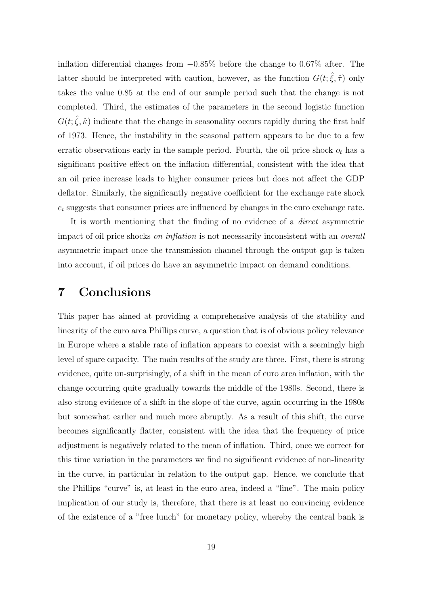inflation differential changes from −0.85% before the change to 0.67% after. The latter should be interpreted with caution, however, as the function  $G(t; \hat{\xi}, \hat{\tau})$  only takes the value 0.85 at the end of our sample period such that the change is not completed. Third, the estimates of the parameters in the second logistic function  $G(t; \hat{\zeta}, \hat{\kappa})$  indicate that the change in seasonality occurs rapidly during the first half of 1973. Hence, the instability in the seasonal pattern appears to be due to a few erratic observations early in the sample period. Fourth, the oil price shock  $o_t$  has a significant positive effect on the inflation differential, consistent with the idea that an oil price increase leads to higher consumer prices but does not affect the GDP deflator. Similarly, the significantly negative coefficient for the exchange rate shock  $e_t$  suggests that consumer prices are influenced by changes in the euro exchange rate.

It is worth mentioning that the finding of no evidence of a direct asymmetric impact of oil price shocks on inflation is not necessarily inconsistent with an overall asymmetric impact once the transmission channel through the output gap is taken into account, if oil prices do have an asymmetric impact on demand conditions.

## 7 Conclusions

This paper has aimed at providing a comprehensive analysis of the stability and linearity of the euro area Phillips curve, a question that is of obvious policy relevance in Europe where a stable rate of inflation appears to coexist with a seemingly high level of spare capacity. The main results of the study are three. First, there is strong evidence, quite un-surprisingly, of a shift in the mean of euro area inflation, with the change occurring quite gradually towards the middle of the 1980s. Second, there is also strong evidence of a shift in the slope of the curve, again occurring in the 1980s but somewhat earlier and much more abruptly. As a result of this shift, the curve becomes significantly flatter, consistent with the idea that the frequency of price adjustment is negatively related to the mean of inflation. Third, once we correct for this time variation in the parameters we find no significant evidence of non-linearity in the curve, in particular in relation to the output gap. Hence, we conclude that the Phillips "curve" is, at least in the euro area, indeed a "line". The main policy implication of our study is, therefore, that there is at least no convincing evidence of the existence of a "free lunch" for monetary policy, whereby the central bank is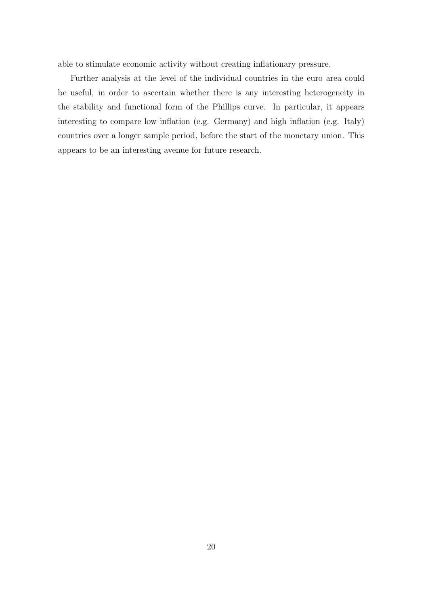able to stimulate economic activity without creating inflationary pressure.

Further analysis at the level of the individual countries in the euro area could be useful, in order to ascertain whether there is any interesting heterogeneity in the stability and functional form of the Phillips curve. In particular, it appears interesting to compare low inflation (e.g. Germany) and high inflation (e.g. Italy) countries over a longer sample period, before the start of the monetary union. This appears to be an interesting avenue for future research.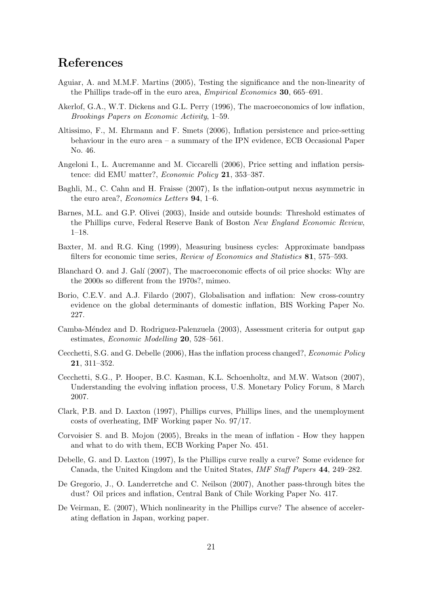# References

- Aguiar, A. and M.M.F. Martins (2005), Testing the significance and the non-linearity of the Phillips trade-off in the euro area, Empirical Economics 30, 665–691.
- Akerlof, G.A., W.T. Dickens and G.L. Perry (1996), The macroeconomics of low inflation, Brookings Papers on Economic Activity, 1–59.
- Altissimo, F., M. Ehrmann and F. Smets (2006), Inflation persistence and price-setting behaviour in the euro area – a summary of the IPN evidence, ECB Occasional Paper No. 46.
- Angeloni I., L. Aucremanne and M. Ciccarelli (2006), Price setting and inflation persistence: did EMU matter?, Economic Policy 21, 353–387.
- Baghli, M., C. Cahn and H. Fraisse (2007), Is the inflation-output nexus asymmetric in the euro area?, *Economics Letters* **94**, 1–6.
- Barnes, M.L. and G.P. Olivei (2003), Inside and outside bounds: Threshold estimates of the Phillips curve, Federal Reserve Bank of Boston New England Economic Review, 1–18.
- Baxter, M. and R.G. King (1999), Measuring business cycles: Approximate bandpass filters for economic time series, Review of Economics and Statistics 81, 575–593.
- Blanchard O. and J. Galí (2007), The macroeconomic effects of oil price shocks: Why are the 2000s so different from the 1970s?, mimeo.
- Borio, C.E.V. and A.J. Filardo (2007), Globalisation and inflation: New cross-country evidence on the global determinants of domestic inflation, BIS Working Paper No. 227.
- Camba-Méndez and D. Rodriguez-Palenzuela (2003), Assessment criteria for output gap estimates, Economic Modelling 20, 528–561.
- Cecchetti, S.G. and G. Debelle (2006), Has the inflation process changed?, Economic Policy 21, 311–352.
- Cecchetti, S.G., P. Hooper, B.C. Kasman, K.L. Schoenholtz, and M.W. Watson (2007), Understanding the evolving inflation process, U.S. Monetary Policy Forum, 8 March 2007.
- Clark, P.B. and D. Laxton (1997), Phillips curves, Phillips lines, and the unemployment costs of overheating, IMF Working paper No. 97/17.
- Corvoisier S. and B. Mojon (2005), Breaks in the mean of inflation How they happen and what to do with them, ECB Working Paper No. 451.
- Debelle, G. and D. Laxton (1997), Is the Phillips curve really a curve? Some evidence for Canada, the United Kingdom and the United States, IMF Staff Papers 44, 249–282.
- De Gregorio, J., O. Landerretche and C. Neilson (2007), Another pass-through bites the dust? Oil prices and inflation, Central Bank of Chile Working Paper No. 417.
- De Veirman, E. (2007), Which nonlinearity in the Phillips curve? The absence of accelerating deflation in Japan, working paper.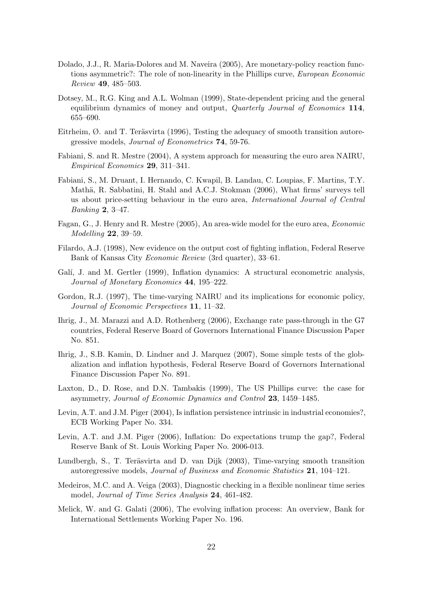- Dolado, J.J., R. Maria-Dolores and M. Naveira (2005), Are monetary-policy reaction functions asymmetric?: The role of non-linearity in the Phillips curve, European Economic Review 49, 485–503.
- Dotsey, M., R.G. King and A.L. Wolman (1999), State-dependent pricing and the general equilibrium dynamics of money and output, *Quarterly Journal of Economics* 114, 655–690.
- Eitrheim,  $\emptyset$ . and T. Teräsvirta (1996), Testing the adequacy of smooth transition autoregressive models, Journal of Econometrics 74, 59-76.
- Fabiani, S. and R. Mestre (2004), A system approach for measuring the euro area NAIRU, Empirical Economics 29, 311–341.
- Fabiani, S., M. Druant, I. Hernando, C. Kwapil, B. Landau, C. Loupias, F. Martins, T.Y. Mathä, R. Sabbatini, H. Stahl and A.C.J. Stokman (2006), What firms' surveys tell us about price-setting behaviour in the euro area, International Journal of Central Banking 2, 3–47.
- Fagan, G., J. Henry and R. Mestre (2005), An area-wide model for the euro area, Economic Modelling 22, 39–59.
- Filardo, A.J. (1998), New evidence on the output cost of fighting inflation, Federal Reserve Bank of Kansas City Economic Review (3rd quarter), 33–61.
- Galí, J. and M. Gertler (1999), Inflation dynamics: A structural econometric analysis, Journal of Monetary Economics 44, 195–222.
- Gordon, R.J. (1997), The time-varying NAIRU and its implications for economic policy, Journal of Economic Perspectives 11, 11–32.
- Ihrig, J., M. Marazzi and A.D. Rothenberg (2006), Exchange rate pass-through in the G7 countries, Federal Reserve Board of Governors International Finance Discussion Paper No. 851.
- Ihrig, J., S.B. Kamin, D. Lindner and J. Marquez (2007), Some simple tests of the globalization and inflation hypothesis, Federal Reserve Board of Governors International Finance Discussion Paper No. 891.
- Laxton, D., D. Rose, and D.N. Tambakis (1999), The US Phillips curve: the case for asymmetry, Journal of Economic Dynamics and Control 23, 1459–1485.
- Levin, A.T. and J.M. Piger (2004), Is inflation persistence intrinsic in industrial economies?, ECB Working Paper No. 334.
- Levin, A.T. and J.M. Piger (2006), Inflation: Do expectations trump the gap?, Federal Reserve Bank of St. Louis Working Paper No. 2006-013.
- Lundbergh, S., T. Teräsvirta and D. van Dijk (2003), Time-varying smooth transition autoregressive models, Journal of Business and Economic Statistics 21, 104–121.
- Medeiros, M.C. and A. Veiga (2003), Diagnostic checking in a flexible nonlinear time series model, Journal of Time Series Analysis 24, 461-482.
- Melick, W. and G. Galati (2006), The evolving inflation process: An overview, Bank for International Settlements Working Paper No. 196.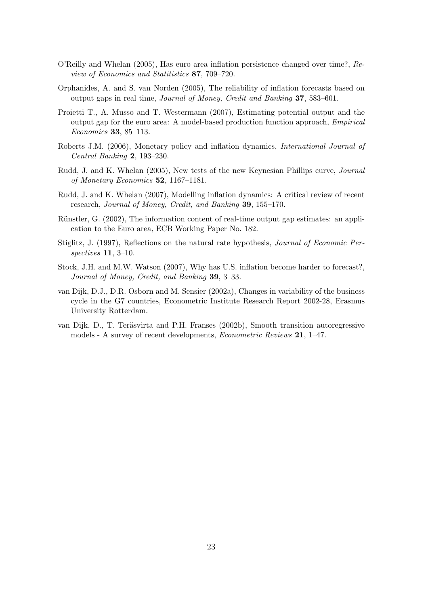- O'Reilly and Whelan (2005), Has euro area inflation persistence changed over time?, Review of Economics and Statitistics 87, 709–720.
- Orphanides, A. and S. van Norden (2005), The reliability of inflation forecasts based on output gaps in real time, Journal of Money, Credit and Banking 37, 583–601.
- Proietti T., A. Musso and T. Westermann (2007), Estimating potential output and the output gap for the euro area: A model-based production function approach, Empirical Economics 33, 85–113.
- Roberts J.M. (2006), Monetary policy and inflation dynamics, International Journal of Central Banking 2, 193–230.
- Rudd, J. and K. Whelan (2005), New tests of the new Keynesian Phillips curve, Journal of Monetary Economics 52, 1167–1181.
- Rudd, J. and K. Whelan (2007), Modelling inflation dynamics: A critical review of recent research, Journal of Money, Credit, and Banking 39, 155–170.
- Rünstler, G. (2002), The information content of real-time output gap estimates: an application to the Euro area, ECB Working Paper No. 182.
- Stiglitz, J. (1997), Reflections on the natural rate hypothesis, Journal of Economic Perspectives 11, 3–10.
- Stock, J.H. and M.W. Watson (2007), Why has U.S. inflation become harder to forecast?, Journal of Money, Credit, and Banking 39, 3–33.
- van Dijk, D.J., D.R. Osborn and M. Sensier (2002a), Changes in variability of the business cycle in the G7 countries, Econometric Institute Research Report 2002-28, Erasmus University Rotterdam.
- van Dijk, D., T. Teräsvirta and P.H. Franses (2002b), Smooth transition autoregressive models - A survey of recent developments, Econometric Reviews 21, 1–47.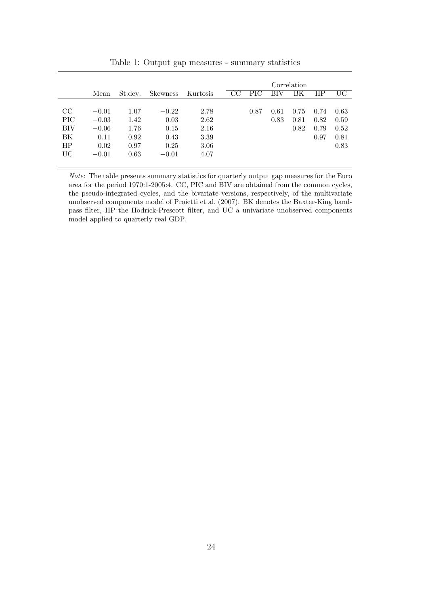|            |         |         |                 |          | Correlation |      |      |      |      |      |
|------------|---------|---------|-----------------|----------|-------------|------|------|------|------|------|
|            | Mean    | St.dev. | <b>Skewness</b> | Kurtosis | CC          | PIC. | BIV  | ΒK   | ΗP   | UС   |
|            |         |         |                 |          |             |      |      |      |      |      |
| CC         | $-0.01$ | 1.07    | $-0.22$         | 2.78     |             | 0.87 | 0.61 | 0.75 | 0.74 | 0.63 |
| <b>PIC</b> | $-0.03$ | 1.42    | 0.03            | 2.62     |             |      | 0.83 | 0.81 | 0.82 | 0.59 |
| BIV        | $-0.06$ | 1.76    | 0.15            | 2.16     |             |      |      | 0.82 | 0.79 | 0.52 |
| ΒK         | 0.11    | 0.92    | 0.43            | 3.39     |             |      |      |      | 0.97 | 0.81 |
| HP         | 0.02    | 0.97    | 0.25            | 3.06     |             |      |      |      |      | 0.83 |
| UC         | $-0.01$ | 0.63    | $-0.01$         | 4.07     |             |      |      |      |      |      |
|            |         |         |                 |          |             |      |      |      |      |      |

Table 1: Output gap measures - summary statistics

 $\emph{Note:}$  The table presents summary statistics for quarterly output gap measures for the Euro area for the period 1970:1-2005:4. CC, PIC and BIV are obtained from the common cycles, the pseudo-integrated cycles, and the bivariate versions, respectively, of the multivariate unobserved components model of Proietti et al. (2007). BK denotes the Baxter-King bandpass filter, HP the Hodrick-Prescott filter, and UC a univariate unobserved components model applied to quarterly real GDP.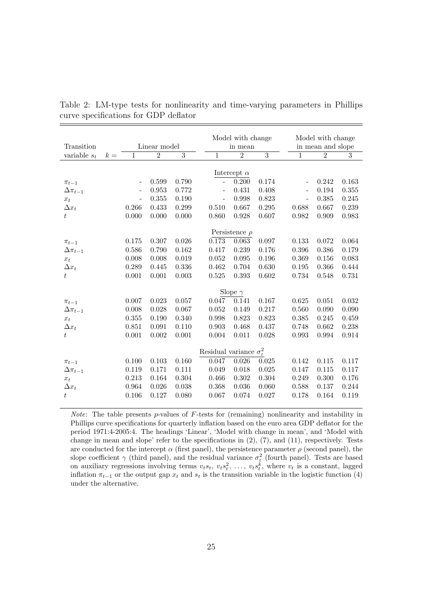|                    |       |                                            |                |                |                          | Model with change  |                |                          | Model with change |                |  |  |  |
|--------------------|-------|--------------------------------------------|----------------|----------------|--------------------------|--------------------|----------------|--------------------------|-------------------|----------------|--|--|--|
| Transition         |       | Linear model                               |                |                | in mean                  |                    |                | in mean and slope        |                   |                |  |  |  |
| variable $s_t$     | $k =$ | $\mathbf{1}$                               | $\overline{2}$ | $\overline{3}$ | $\mathbf{1}$             | $\overline{2}$     | $\overline{3}$ | $\overline{1}$           | $\overline{2}$    | $\overline{3}$ |  |  |  |
|                    |       |                                            |                |                |                          |                    |                |                          |                   |                |  |  |  |
|                    |       |                                            |                |                |                          | Intercept $\alpha$ |                |                          |                   |                |  |  |  |
| $\pi_{t-1}$        |       |                                            | 0.599          | 0.790          | $\overline{a}$           | 0.200              | 0.174          | $\overline{\phantom{m}}$ | 0.242             | 0.163          |  |  |  |
| $\Delta \pi_{t-1}$ |       | $\overline{\phantom{a}}$                   | 0.953          | 0.772          | $\overline{\phantom{m}}$ | 0.431              | 0.408          | $\overline{\phantom{0}}$ | 0.194             | 0.355          |  |  |  |
| $x_t$              |       | $\overline{\phantom{a}}$                   | 0.355          | 0.190          | $\overline{\phantom{m}}$ | 0.998              | 0.823          | $\overline{\phantom{0}}$ | 0.385             | 0.245          |  |  |  |
| $\Delta x_t$       |       | 0.266                                      | 0.433          | 0.299          | 0.510                    | 0.667              | 0.295          | 0.688                    | 0.667             | 0.239          |  |  |  |
| t                  |       | 0.000                                      | 0.000          | 0.000          | 0.860                    | 0.928              | 0.607          | 0.982                    | 0.909             | 0.983          |  |  |  |
|                    |       |                                            |                |                |                          | Persistence $\rho$ |                |                          |                   |                |  |  |  |
| $\pi_{t-1}$        |       | 0.175                                      | 0.307          | 0.026          | 0.173                    | 0.063              | 0.097          | 0.133                    | 0.072             | 0.064          |  |  |  |
| $\Delta \pi_{t-1}$ |       | 0.586                                      | 0.790          | 0.162          | 0.417                    | 0.239              | 0.176          | 0.396                    | 0.386             | 0.179          |  |  |  |
| $x_t$              |       | 0.008                                      | 0.008          | 0.019          | 0.052                    | 0.095              | 0.196          | 0.369                    | 0.156             | 0.083          |  |  |  |
| $\Delta x_t$       |       | 0.289                                      | 0.445          | 0.336          | 0.462                    | 0.704              | 0.630          | 0.195                    | 0.366             | 0.444          |  |  |  |
| $\bar{t}$          |       | 0.001                                      | $0.001\,$      | 0.003          | 0.525                    | 0.393              | 0.602          | 0.734                    | 0.548             | 0.731          |  |  |  |
|                    |       |                                            |                |                |                          |                    |                |                          |                   |                |  |  |  |
|                    |       |                                            |                |                |                          | Slope $\gamma$     |                |                          |                   |                |  |  |  |
| $\pi_{t-1}$        |       | 0.007                                      | 0.023          | 0.057          | 0.047                    | 0.141              | 0.167          | 0.625                    | 0.051             | 0.032          |  |  |  |
| $\Delta\pi_{t-1}$  |       | 0.008                                      | 0.028          | 0.067          | 0.052                    | 0.149              | 0.217          | 0.560                    | 0.090             | 0.090          |  |  |  |
| $x_t$              |       | 0.355                                      | 0.190          | 0.340          | 0.998                    | 0.823              | 0.823          | 0.385                    | 0.245             | 0.459          |  |  |  |
| $\Delta x_t$       |       | 0.851                                      | $\,0.091\,$    | 0.110          | 0.903                    | 0.468              | 0.437          | 0.748                    | 0.662             | 0.238          |  |  |  |
| $t\,$              |       | 0.001                                      | 0.002          | 0.001          | 0.004                    | 0.011              | 0.028          | 0.993                    | 0.994             | 0.914          |  |  |  |
|                    |       |                                            |                |                |                          |                    |                |                          |                   |                |  |  |  |
|                    |       | Residual variance $\sigma_{\varepsilon}^2$ |                |                |                          |                    |                |                          |                   |                |  |  |  |
| $\pi_{t-1}$        |       | 0.100                                      | 0.103          | 0.160          | 0.047                    | 0.026              | 0.025          | 0.142                    | 0.115             | 0.117          |  |  |  |
| $\Delta \pi_{t-1}$ |       | 0.119                                      | 0.171          | 0.111          | 0.049                    | 0.018              | 0.025          | 0.147                    | 0.115             | 0.117          |  |  |  |
| $x_t$              |       | 0.213                                      | 0.164          | 0.304          | 0.466                    | 0.302              | 0.304          | 0.249                    | 0.300             | 0.176          |  |  |  |
| $\Delta x_t$       |       | 0.964                                      | 0.026          | 0.038          | 0.368                    | 0.036              | 0.060          | 0.588                    | 0.137             | 0.244          |  |  |  |
| $t\,$              |       | 0.106                                      | 0.127          | 0.080          | 0.067                    | 0.074              | 0.027          | 0.178                    | 0.164             | 0.119          |  |  |  |

Table 2: LM-type tests for nonlinearity and time-varying parameters in Phillips curve specifications for GDP deflator

*Note:* The table presents  $p$ -values of  $F$ -tests for (remaining) nonlinearity and instability in Phillips curve specifications for quarterly inflation based on the euro area GDP deflator for the period 1971:4-2005:4. The headings 'Linear', 'Model with change in mean', and 'Model with change in mean and slope' refer to the specifications in  $(2)$ ,  $(7)$ , and  $(11)$ , respectively. Tests are conducted for the intercept  $\alpha$  (first panel), the persistence parameter  $\rho$  (second panel), the slope coefficient  $\gamma$  (third panel), and the residual variance  $\sigma_{\varepsilon}^2$  (fourth panel). Tests are based on auxiliary regressions involving terms  $v_ts_t, v_ts_t^2, \ldots, v_ts_t^k$ , where  $v_t$  is a constant, lagged inflation  $\pi_{t-1}$  or the output gap  $x_t$  and  $s_t$  is the transition variable in the logistic function (4) under the alternative.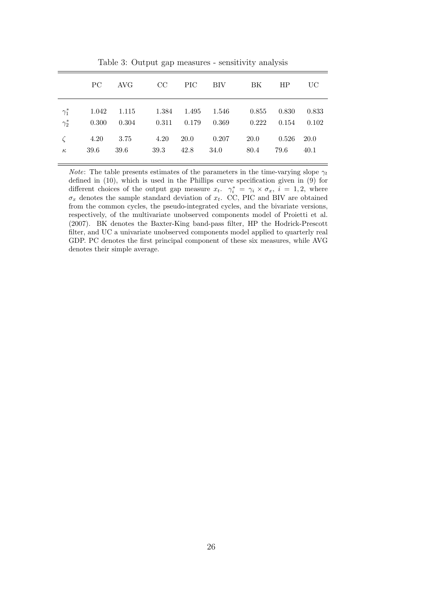|                              | PC.       | AVG       |                   |      |               | CC PIC BIV BK                                                                                                                      | HP                      | UC   |
|------------------------------|-----------|-----------|-------------------|------|---------------|------------------------------------------------------------------------------------------------------------------------------------|-------------------------|------|
| $\gamma_1^*$<br>$\gamma_2^*$ |           |           |                   |      |               | $1.042$ $1.115$ $1.384$ $1.495$ $1.546$ $0.855$ $0.830$ $0.833$<br>$0.300$ $0.304$ $0.311$ $0.179$ $0.369$ $0.222$ $0.154$ $0.102$ |                         |      |
| $\zeta$<br>$\kappa$          | 4.20 3.75 | 39.6 39.6 | 4.20<br>39.3 42.8 | 20.0 | 0.207<br>34.0 | 80.4                                                                                                                               | 20.0 0.526 20.0<br>79.6 | 40.1 |

Table 3: Output gap measures - sensitivity analysis

*Note:* The table presents estimates of the parameters in the time-varying slope  $\gamma_t$ defined in (10), which is used in the Phillips curve specification given in (9) for different choices of the output gap measure  $x_t$ .  $\gamma_i^* = \gamma_i \times \sigma_x$ ,  $i = 1, 2$ , where  $\sigma_x$  denotes the sample standard deviation of  $x_t$ . CC, PIC and BIV are obtained from the common cycles, the pseudo-integrated cycles, and the bivariate versions, respectively, of the multivariate unobserved components model of Proietti et al. (2007). BK denotes the Baxter-King band-pass filter, HP the Hodrick-Prescott filter, and UC a univariate unobserved components model applied to quarterly real GDP. PC denotes the first principal component of these six measures, while AVG denotes their simple average.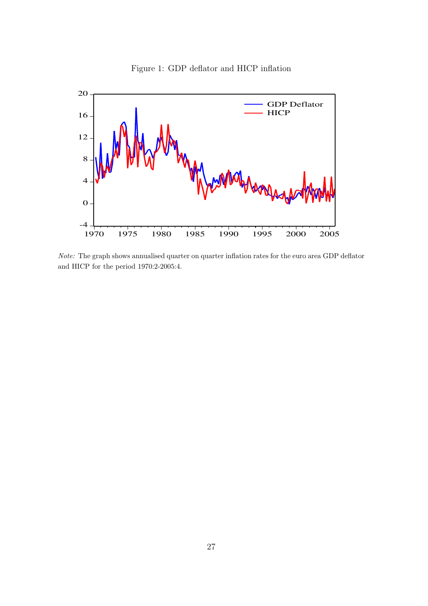



Note: The graph shows annualised quarter on quarter inflation rates for the euro area GDP deflator and HICP for the period 1970:2-2005:4.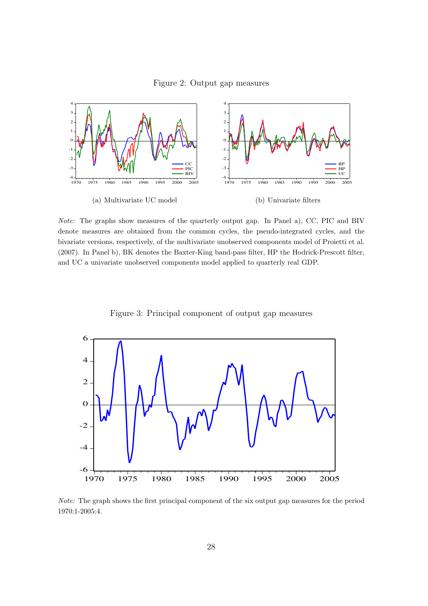Figure 2: Output gap measures



Note: The graphs show measures of the quarterly output gap. In Panel a), CC, PIC and BIV denote measures are obtained from the common cycles, the pseudo-integrated cycles, and the bivariate versions, respectively, of the multivariate unobserved components model of Proietti et al. (2007). In Panel b), BK denotes the Baxter-King band-pass filter, HP the Hodrick-Prescott filter, and UC a univariate unobserved components model applied to quarterly real GDP.

Figure 3: Principal component of output gap measures



Note: The graph shows the first principal component of the six output gap measures for the period 1970:1-2005:4.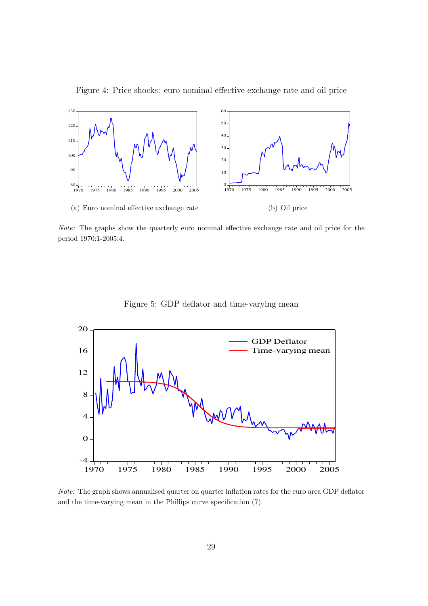

Figure 4: Price shocks: euro nominal effective exchange rate and oil price

Note: The graphs show the quarterly euro nominal effective exchange rate and oil price for the period 1970:1-2005:4.



Figure 5: GDP deflator and time-varying mean

Note: The graph shows annualised quarter on quarter inflation rates for the euro area GDP deflator and the time-varying mean in the Phillips curve specification (7).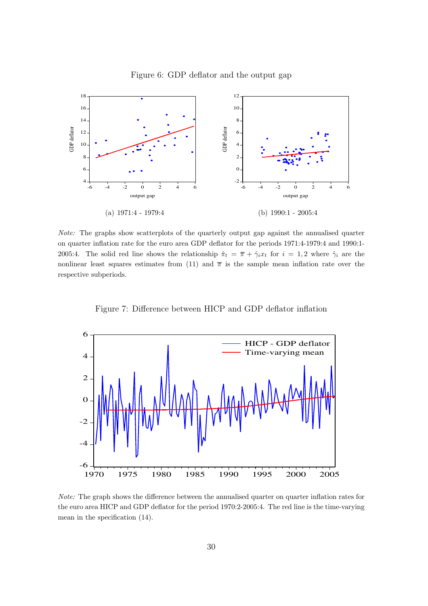

Figure 6: GDP deflator and the output gap

Note: The graphs show scatterplots of the quarterly output gap against the annualised quarter on quarter inflation rate for the euro area GDP deflator for the periods 1971:4-1979:4 and 1990:1- 2005:4. The solid red line shows the relationship  $\hat{\pi}_t = \overline{\pi} + \hat{\gamma}_i x_t$  for  $i = 1, 2$  where  $\hat{\gamma}_i$  are the nonlinear least squares estimates from (11) and  $\bar{\pi}$  is the sample mean inflation rate over the respective subperiods.

Figure 7: Difference between HICP and GDP deflator inflation



Note: The graph shows the difference between the annualised quarter on quarter inflation rates for the euro area HICP and GDP deflator for the period 1970:2-2005:4. The red line is the time-varying mean in the specification (14).